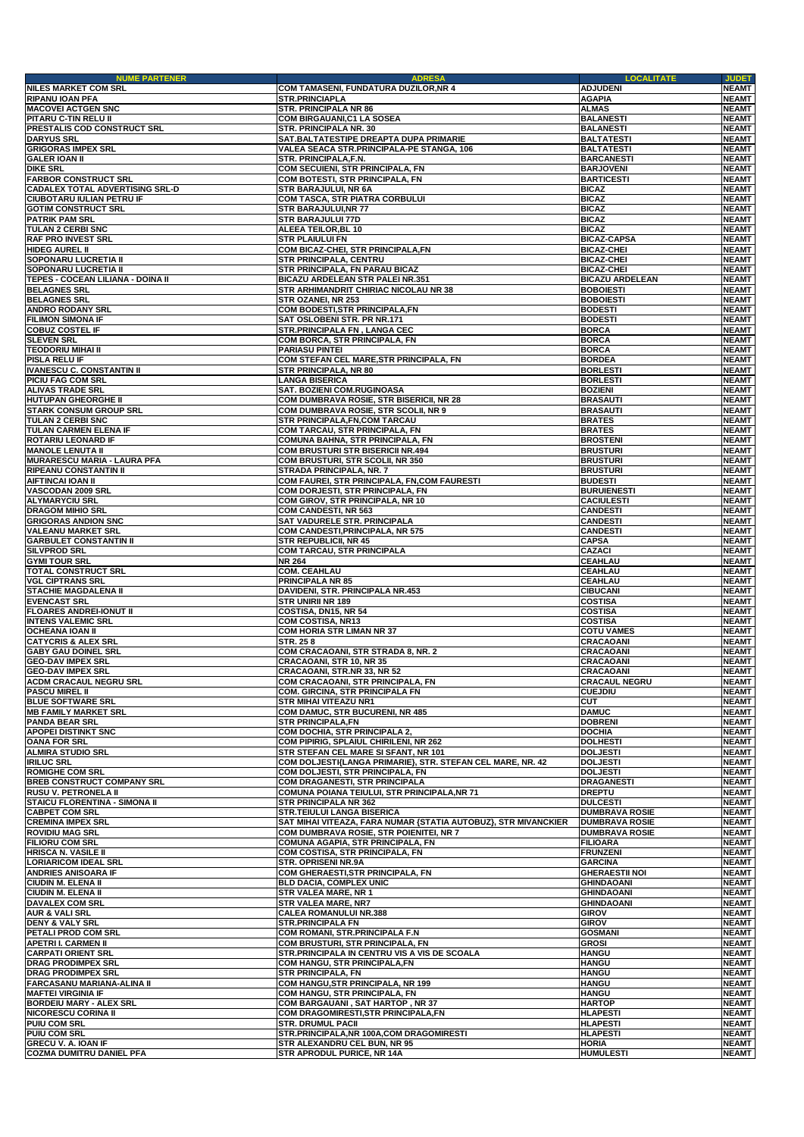| <b>NUME PARTENER</b>                   | <b>ADRESA</b>                                                  | <b>LOCALITATE</b>      | <b>JUDET</b> |
|----------------------------------------|----------------------------------------------------------------|------------------------|--------------|
| <b>NILES MARKET COM SRL</b>            | COM TAMASENI, FUNDATURA DUZILOR, NR 4                          | <b>ADJUDENI</b>        | <b>NEAMT</b> |
| <b>RIPANU IOAN PFA</b>                 | STR.PRINCIAPLA                                                 | <b>AGAPIA</b>          | <b>NEAMT</b> |
| <b>MACOVEI ACTGEN SNC</b>              | STR. PRINCIPALA NR 86                                          | <b>ALMAS</b>           | <b>NEAMT</b> |
| PITARU C-TIN RELU II                   | COM BIRGAUANI, C1 LA SOSEA                                     | <b>BALANESTI</b>       | <b>NEAMT</b> |
|                                        |                                                                |                        |              |
| PRESTALIS COD CONSTRUCT SRL            | STR. PRINCIPALA NR. 30                                         | <b>BALANESTI</b>       | <b>NEAMT</b> |
| <b>DARYUS SRL</b>                      | SAT.BALTATESTIPE DREAPTA DUPA PRIMARIE                         | <b>BALTATESTI</b>      | <b>NEAMT</b> |
| <b>GRIGORAS IMPEX SRL</b>              | VALEA SEACA STR.PRINCIPALA-PE STANGA, 106                      | <b>BALTATESTI</b>      | <b>NEAMT</b> |
| <b>GALER IOAN II</b>                   | STR. PRINCIPALA, F.N.                                          | <b>BARCANESTI</b>      | <b>NEAMT</b> |
| <b>DIKE SRL</b>                        | COM SECUIENI, STR PRINCIPALA, FN                               | <b>BARJOVENI</b>       | <b>NEAMT</b> |
| <b>FARBOR CONSTRUCT SRL</b>            | COM BOTESTI, STR PRINCIPALA, FN                                | <b>BARTICESTI</b>      | <b>NEAMT</b> |
| <b>CADALEX TOTAL ADVERTISING SRL-D</b> | STR BARAJULUI, NR 6A                                           | <b>BICAZ</b>           | <b>NEAMT</b> |
| <b>CIUBOTARU IULIAN PETRU IF</b>       | <b>COM TASCA, STR PIATRA CORBULUI</b>                          | <b>BICAZ</b>           | <b>NEAMT</b> |
| <b>GOTIM CONSTRUCT SRL</b>             | STR BARAJULUI, NR 77                                           | <b>BICAZ</b>           | <b>NEAMT</b> |
| <b>PATRIK PAM SRL</b>                  | <b>STR BARAJULUI 77D</b>                                       | <b>BICAZ</b>           | <b>NEAMT</b> |
| <b>TULAN 2 CERBI SNC</b>               | ALEEA TEILOR, BL 10                                            | <b>BICAZ</b>           | <b>NEAMT</b> |
| <b>RAF PRO INVEST SRL</b>              | <b>STR PLAIULUI FN</b>                                         | <b>BICAZ-CAPSA</b>     | <b>NEAMT</b> |
| <b>HIDEG AUREL II</b>                  | COM BICAZ-CHEI, STR PRINCIPALA,FN                              | <b>BICAZ-CHEI</b>      | <b>NEAMT</b> |
| <b>SOPONARU LUCRETIA II</b>            | STR PRINCIPALA, CENTRU                                         | <b>BICAZ-CHEI</b>      | <b>NEAMT</b> |
|                                        |                                                                | <b>BICAZ-CHEI</b>      | <b>NEAMT</b> |
| SOPONARU LUCRETIA II                   | STR PRINCIPALA, FN PARAU BICAZ                                 |                        |              |
| TEPES - COCEAN LILIANA - DOINA II      | BICAZU ARDELEAN STR PALEI NR.351                               | <b>BICAZU ARDELEAN</b> | <b>NEAMT</b> |
| <b>BELAGNES SRL</b>                    | STR ARHIMANDRIT CHIRIAC NICOLAU NR 38                          | <b>BOBOIESTI</b>       | <b>NEAMT</b> |
| <b>BELAGNES SRL</b>                    | STR OZANEI, NR 253                                             | <b>BOBOIESTI</b>       | <b>NEAMT</b> |
| <b>ANDRO RODANY SRL</b>                | COM BODESTI, STR PRINCIPALA, FN                                | <b>BODESTI</b>         | <b>NEAMT</b> |
| <b>FILIMON SIMONA IF</b>               | SAT OSLOBENI STR. PR NR.171                                    | <b>BODESTI</b>         | <b>NEAMT</b> |
| <b>COBUZ COSTEL IF</b>                 | STR.PRINCIPALA FN, LANGA CEC                                   | <b>BORCA</b>           | <b>NEAMT</b> |
| <b>SLEVEN SRL</b>                      | COM BORCA, STR PRINCIPALA, FN                                  | <b>BORCA</b>           | <b>NEAMT</b> |
| <b>TEODORIU MIHAI II</b>               | <b>PARIASU PINTEI</b>                                          | <b>BORCA</b>           | <b>NEAMT</b> |
| PISLA RELU IF                          | COM STEFAN CEL MARE, STR PRINCIPALA, FN                        | <b>BORDEA</b>          | <b>NEAMT</b> |
| <b>IVANESCU C. CONSTANTIN II</b>       | STR PRINCIPALA, NR 80                                          | <b>BORLESTI</b>        | <b>NEAMT</b> |
|                                        |                                                                | <b>BORLESTI</b>        |              |
| PICIU FAG COM SRL                      | LANGA BISERICA                                                 |                        | <b>NEAMT</b> |
| <b>ALIVAS TRADE SRL</b>                | SAT. BOZIENI COM.RUGINOASA                                     | <b>BOZIENI</b>         | <b>NEAMT</b> |
| <b>HUTUPAN GHEORGHE II</b>             | COM DUMBRAVA ROSIE, STR BISERICII, NR 28                       | <b>BRASAUTI</b>        | <b>NEAMT</b> |
| <b>STARK CONSUM GROUP SRL</b>          | COM DUMBRAVA ROSIE, STR SCOLII, NR 9                           | <b>BRASAUTI</b>        | <b>NEAMT</b> |
| TULAN 2 CERBI SNC                      | STR PRINCIPALA, FN, COM TARCAU                                 | <b>BRATES</b>          | <b>NEAMT</b> |
| TULAN CARMEN ELENA IF                  | COM TARCAU, STR PRINCIPALA, FN                                 | <b>BRATES</b>          | <b>NEAMT</b> |
| <b>ROTARIU LEONARD IF</b>              | COMUNA BAHNA, STR PRINCIPALA, FN                               | <b>BROSTENI</b>        | <b>NEAMT</b> |
| <b>MANOLE LENUTA II</b>                | <b>COM BRUSTURI STR BISERICII NR.494</b>                       | <b>BRUSTURI</b>        | <b>NEAMT</b> |
| <b>MURARESCU MARIA - LAURA PFA</b>     | COM BRUSTURI, STR SCOLII, NR 350                               | <b>BRUSTURI</b>        | <b>NEAMT</b> |
| <b>RIPEANU CONSTANTIN II</b>           | STRADA PRINCIPALA, NR. 7                                       | <b>BRUSTURI</b>        | <b>NEAMT</b> |
| <b>AIFTINCAI IOAN II</b>               |                                                                | <b>BUDESTI</b>         | <b>NEAMT</b> |
|                                        | <b>COM FAUREI, STR PRINCIPALA, FN,COM FAURESTI</b>             |                        |              |
| VASCODAN 2009 SRL                      | COM DORJESTI, STR PRINCIPALA, FN                               | <b>BURUIENESTI</b>     | <b>NEAMT</b> |
| <b>ALYMARYCIU SRL</b>                  | COM GIROV, STR PRINCIPALA, NR 10                               | <b>CACIULESTI</b>      | <b>NEAMT</b> |
| <b>DRAGOM MIHIO SRL</b>                | <b>COM CANDESTI, NR 563</b>                                    | <b>CANDESTI</b>        | <b>NEAMT</b> |
| <b>GRIGORAS ANDION SNC</b>             | SAT VADURELE STR. PRINCIPALA                                   | <b>CANDESTI</b>        | <b>NEAMT</b> |
| <b>VALEANU MARKET SRL</b>              | COM CANDESTI, PRINCIPALA, NR 575                               | <b>CANDESTI</b>        | <b>NEAMT</b> |
| <b>GARBULET CONSTANTIN II</b>          | <b>STR REPUBLICII, NR 45</b>                                   | <b>CAPSA</b>           | <b>NEAMT</b> |
| <b>SILVPROD SRL</b>                    | <b>COM TARCAU, STR PRINCIPALA</b>                              | <b>CAZACI</b>          | <b>NEAMT</b> |
| <b>GYMI TOUR SRL</b>                   | <b>NR 264</b>                                                  | <b>CEAHLAU</b>         | <b>NEAMT</b> |
| <b>TOTAL CONSTRUCT SRL</b>             | <b>COM. CEAHLAU</b>                                            | <b>CEAHLAU</b>         | <b>NEAMT</b> |
| <b>VGL CIPTRANS SRL</b>                | PRINCIPALA NR 85                                               | <b>CEAHLAU</b>         | <b>NEAMT</b> |
| <b>STACHIE MAGDALENA II</b>            | DAVIDENI, STR. PRINCIPALA NR.453                               | <b>CIBUCANI</b>        | <b>NEAMT</b> |
|                                        |                                                                |                        |              |
| <b>EVENCAST SRL</b>                    | STR UNIRII NR 189                                              | <b>COSTISA</b>         | <b>NEAMT</b> |
| <b>FLOARES ANDREI-IONUT II</b>         | COSTISA, DN15, NR 54                                           | <b>COSTISA</b>         | <b>NEAMT</b> |
| <b>INTENS VALEMIC SRL</b>              | COM COSTISA, NR13                                              | <b>COSTISA</b>         | <b>NEAMT</b> |
| <b>OCHEANA IOAN II</b>                 | <b>COM HORIA STR LIMAN NR 37</b>                               | <b>COTU VAMES</b>      | <b>NEAMT</b> |
| <b>CATYCRIS &amp; ALEX SRL</b>         | STR. 258                                                       | <b>CRACAOANI</b>       | <b>NEAMT</b> |
| <b>GABY GAU DOINEL SRL</b>             | COM CRACAOANI, STR STRADA 8, NR. 2                             | <b>CRACAOANI</b>       | <b>NEAMT</b> |
| <b>GEO-DAV IMPEX SRL</b>               | CRACAOANI, STR 10, NR 35                                       | <b>CRACAOANI</b>       | <b>NEAMT</b> |
| <b>GEO-DAV IMPEX SRL</b>               | CRACAOANI, STR.NR 33, NR 52                                    | <b>CRACAOANI</b>       | <b>NEAMT</b> |
| <b>ACDM CRACAUL NEGRU SRL</b>          | COM CRACAOANI, STR PRINCIPALA, FN                              | <b>CRACAUL NEGRU</b>   | <b>NEAMT</b> |
| <b>PASCU MIREL II</b>                  | <b>COM. GIRCINA, STR PRINCIPALA FN</b>                         | <b>CUEJDIU</b>         | <b>NEAMT</b> |
| <b>BLUE SOFTWARE SRL</b>               | <b>STR MIHAI VITEAZU NR1</b>                                   | <b>CUT</b>             | <b>NEAMT</b> |
| <b>MB FAMILY MARKET SRL</b>            | COM DAMUC, STR BUCURENI, NR 485                                | <b>DAMUC</b>           | <b>NEAMT</b> |
| <b>PANDA BEAR SRL</b>                  | <b>STR PRINCIPALA, FN</b>                                      | <b>DOBRENI</b>         | <b>NEAMT</b> |
|                                        |                                                                |                        |              |
| <b>APOPEI DISTINKT SNC</b>             | COM DOCHIA, STR PRINCIPALA 2,                                  | <b>DOCHIA</b>          | <b>NEAMT</b> |
| <b>OANA FOR SRL</b>                    | COM PIPIRIG, SPLAIUL CHIRILENI, NR 262                         | <b>DOLHESTI</b>        | <b>NEAMT</b> |
| <b>ALMIRA STUDIO SRL</b>               | STR STEFAN CEL MARE SI SFANT, NR 101                           | <b>DOLJESTI</b>        | <b>NEAMT</b> |
| <b>IRILUC SRL</b>                      | COM DOLJESTI{LANGA PRIMARIE}, STR. STEFAN CEL MARE, NR. 42     | <b>DOLJESTI</b>        | <b>NEAMT</b> |
| <b>ROMIGHE COM SRL</b>                 | COM DOLJESTI, STR PRINCIPALA, FN                               | <b>DOLJESTI</b>        | <b>NEAMT</b> |
| <b>BREB CONSTRUCT COMPANY SRL</b>      | COM DRAGANESTI, STR PRINCIPALA                                 | <b>DRAGANESTI</b>      | <b>NEAMT</b> |
| RUSU V. PETRONELA II                   | COMUNA POIANA TEIULUI, STR PRINCIPALA,NR 71                    | <b>DREPTU</b>          | <b>NEAMT</b> |
| STAICU FLORENTINA - SIMONA II          | STR PRINCIPALA NR 362                                          | <b>DULCESTI</b>        | <b>NEAMT</b> |
| <b>CABPET COM SRL</b>                  | STR.TEIULUI LANGA BISERICA                                     | <b>DUMBRAVA ROSIE</b>  | <b>NEAMT</b> |
| <b>CREMINA IMPEX SRL</b>               | SAT MIHAI VITEAZA, FARA NUMAR {STATIA AUTOBUZ}, STR MIVANCKIER | <b>DUMBRAVA ROSIE</b>  | <b>NEAMT</b> |
| <b>ROVIDIU MAG SRL</b>                 | COM DUMBRAVA ROSIE, STR POIENITEI, NR 7                        | <b>DUMBRAVA ROSIE</b>  | <b>NEAMT</b> |
| <b>FILIORU COM SRL</b>                 | COMUNA AGAPIA, STR PRINCIPALA, FN                              | <b>FILIOARA</b>        | <b>NEAMT</b> |
| <b>HRISCA N. VASILE II</b>             | COM COSTISA, STR PRINCIPALA, FN                                | <b>FRUNZENI</b>        | <b>NEAMT</b> |
| <b>LORIARICOM IDEAL SRL</b>            | STR. OPRISENI NR.9A                                            | <b>GARCINA</b>         | <b>NEAMT</b> |
|                                        |                                                                |                        |              |
| <b>ANDRIES ANISOARA IF</b>             | COM GHERAESTI, STR PRINCIPALA, FN                              | <b>GHERAESTII NOI</b>  | <b>NEAMT</b> |
| <b>CIUDIN M. ELENA II</b>              | BLD DACIA, COMPLEX UNIC                                        | <b>GHINDAOANI</b>      | <b>NEAMT</b> |
| <b>CIUDIN M. ELENA II</b>              | STR VALEA MARE, NR 1                                           | <b>GHINDAOANI</b>      | <b>NEAMT</b> |
| <b>DAVALEX COM SRL</b>                 | STR VALEA MARE, NR7                                            | <b>GHINDAOANI</b>      | <b>NEAMT</b> |
| <b>AUR &amp; VALI SRL</b>              | <b>CALEA ROMANULUI NR.388</b>                                  | <b>GIROV</b>           | <b>NEAMT</b> |
| <b>DENY &amp; VALY SRL</b>             | <b>STR.PRINCIPALA FN</b>                                       | <b>GIROV</b>           | <b>NEAMT</b> |
| PETALI PROD COM SRL                    | COM ROMANI, STR.PRINCIPALA F.N                                 | <b>GOSMANI</b>         | <b>NEAMT</b> |
| <b>APETRI I. CARMEN II</b>             | COM BRUSTURI, STR PRINCIPALA, FN                               | <b>GROSI</b>           | <b>NEAMT</b> |
| <b>CARPATI ORIENT SRL</b>              | STR.PRINCIPALA IN CENTRU VIS A VIS DE SCOALA                   | <b>HANGU</b>           | <b>NEAMT</b> |
| <b>DRAG PRODIMPEX SRL</b>              | COM HANGU, STR PRINCIPALA, FN                                  | <b>HANGU</b>           | <b>NEAMT</b> |
| <b>DRAG PRODIMPEX SRL</b>              | <b>STR PRINCIPALA, FN</b>                                      | <b>HANGU</b>           | <b>NEAMT</b> |
| FARCASANU MARIANA-ALINA II             | COM HANGU, STR PRINCIPALA, NR 199                              | <b>HANGU</b>           | <b>NEAMT</b> |
| <b>MAFTEI VIRGINIA IF</b>              | COM HANGU, STR PRINCIPALA, FN                                  | <b>HANGU</b>           | <b>NEAMT</b> |
| <b>BORDEIU MARY - ALEX SRL</b>         | <b>COM BARGAUANI, SAT HARTOP, NR 37</b>                        | <b>HARTOP</b>          | <b>NEAMT</b> |
|                                        |                                                                |                        |              |
| <b>NICORESCU CORINA II</b>             | COM DRAGOMIRESTI, STR PRINCIPALA, FN                           | <b>HLAPESTI</b>        | <b>NEAMT</b> |
| <b>PUIU COM SRL</b>                    | <b>STR. DRUMUL PACII</b>                                       | <b>HLAPESTI</b>        | <b>NEAMT</b> |
| <b>PUIU COM SRL</b>                    | STR.PRINCIPALA, NR 100A, COM DRAGOMIRESTI                      | <b>HLAPESTI</b>        | <b>NEAMT</b> |
| <b>GRECU V. A. IOAN IF</b>             | STR ALEXANDRU CEL BUN, NR 95                                   | <b>HORIA</b>           | <b>NEAMT</b> |
| <b>COZMA DUMITRU DANIEL PFA</b>        | STR APRODUL PURICE, NR 14A                                     | <b>HUMULESTI</b>       | <b>NEAMT</b> |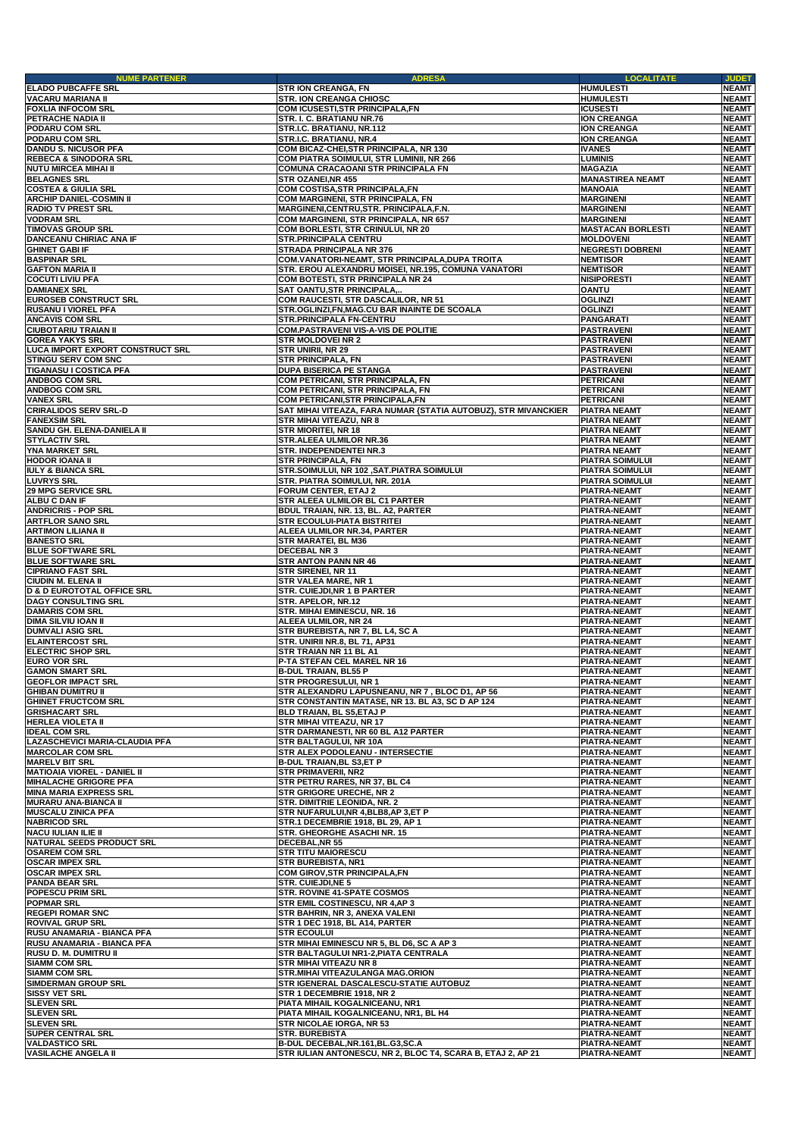| <b>NUME PARTENER</b>                                                | <b>ADRESA</b>                                                              | <b>LOCALITATE</b>                      | <b>JUDET</b>                 |
|---------------------------------------------------------------------|----------------------------------------------------------------------------|----------------------------------------|------------------------------|
| <b>ELADO PUBCAFFE SRL</b>                                           | <b>STR ION CREANGA, FN</b>                                                 | <b>HUMULESTI</b>                       | <b>NEAMT</b>                 |
| <b>VACARU MARIANA II</b>                                            | STR. ION CREANGA CHIOSC                                                    | <b>HUMULESTI</b>                       | <b>NEAMT</b>                 |
| <b>FOXLIA INFOCOM SRL</b>                                           | COM ICUSESTI, STR PRINCIPALA, FN                                           | <b>ICUSESTI</b><br><b>ION CREANGA</b>  | <b>NEAMT</b>                 |
| PETRACHE NADIA II<br><b>PODARU COM SRL</b>                          | STR. I. C. BRATIANU NR.76<br>STR.I.C. BRATIANU, NR.112                     | <b>ION CREANGA</b>                     | <b>NEAMT</b><br><b>NEAMT</b> |
| <b>PODARU COM SRL</b>                                               | STR.I.C. BRATIANU, NR.4                                                    | <b>ION CREANGA</b>                     | <b>NEAMT</b>                 |
| <b>DANDU S. NICUSOR PFA</b>                                         | COM BICAZ-CHEI, STR PRINCIPALA, NR 130                                     | <b>IVANES</b>                          | <b>NEAMT</b>                 |
| <b>REBECA &amp; SINODORA SRL</b>                                    | <b>COM PIATRA SOIMULUI, STR LUMINII, NR 266</b>                            | <b>LUMINIS</b>                         | <b>NEAMT</b>                 |
| <b>NUTU MIRCEA MIHAI II</b>                                         | COMUNA CRACAOANI STR PRINCIPALA FN                                         | <b>MAGAZIA</b>                         | <b>NEAMT</b>                 |
| <b>BELAGNES SRL</b>                                                 | STR OZANEI, NR 455                                                         | <b>MANASTIREA NEAMT</b>                | <b>NEAMT</b>                 |
| <b>COSTEA &amp; GIULIA SRL</b>                                      | COM COSTISA, STR PRINCIPALA, FN                                            | <b>MANOAIA</b>                         | <b>NEAMT</b>                 |
| <b>ARCHIP DANIEL-COSMIN II</b><br><b>RADIO TV PREST SRL</b>         | COM MARGINENI, STR PRINCIPALA, FN<br>MARGINENI.CENTRU.STR. PRINCIPALA.F.N. | <b>MARGINENI</b><br><b>MARGINENI</b>   | <b>NEAMT</b><br><b>NEAMT</b> |
| <b>VODRAM SRL</b>                                                   | COM MARGINENI, STR PRINCIPALA, NR 657                                      | <b>MARGINENI</b>                       | <b>NEAMT</b>                 |
| <b>TIMOVAS GROUP SRL</b>                                            | COM BORLESTI, STR CRINULUI, NR 20                                          | <b>MASTACAN BORLESTI</b>               | <b>NEAMT</b>                 |
| <b>DANCEANU CHIRIAC ANA IF</b>                                      | <b>STR.PRINCIPALA CENTRU</b>                                               | <b>MOLDOVENI</b>                       | <b>NEAMT</b>                 |
| <b>GHINET GABI IF</b>                                               | STRADA PRINCIPALA NR 376                                                   | <b>NEGRESTI DOBRENI</b>                | <b>NEAMT</b>                 |
| <b>BASPINAR SRL</b>                                                 | COM.VANATORI-NEAMT, STR PRINCIPALA, DUPA TROITA                            | <b>NEMTISOR</b>                        | <b>NEAMT</b>                 |
| <b>GAFTON MARIA II</b>                                              | STR. EROU ALEXANDRU MOISEI, NR.195, COMUNA VANATORI                        | <b>NEMTISOR</b>                        | <b>NEAMT</b>                 |
| <b>COCUTI LIVIU PFA</b><br><b>DAMIANEX SRL</b>                      | COM BOTESTI, STR PRINCIPALA NR 24<br>SAT OANTU, STR PRINCIPALA,            | <b>NISIPORESTI</b><br><b>OANTU</b>     | <b>NEAMT</b><br><b>NEAMT</b> |
| <b>EUROSEB CONSTRUCT SRL</b>                                        | COM RAUCESTI, STR DASCALILOR, NR 51                                        | <b>OGLINZI</b>                         | <b>NEAMT</b>                 |
| <b>RUSANU I VIOREL PFA</b>                                          | STR.OGLINZI,FN,MAG.CU BAR INAINTE DE SCOALA                                | <b>OGLINZI</b>                         | <b>NEAMT</b>                 |
| <b>ANCAVIS COM SRL</b>                                              | STR.PRINCIPALA FN-CENTRU                                                   | <b>PANGARATI</b>                       | <b>NEAMT</b>                 |
| <b>CIUBOTARIU TRAIAN II</b>                                         | COM.PASTRAVENI VIS-A-VIS DE POLITIE                                        | <b>PASTRAVENI</b>                      | <b>NEAMT</b>                 |
| <b>GOREA YAKYS SRL</b>                                              | STR MOLDOVEI NR 2                                                          | <b>PASTRAVENI</b>                      | <b>NEAMT</b>                 |
| <b>LUCA IMPORT EXPORT CONSTRUCT SRL</b>                             | <b>STR UNIRII, NR 29</b>                                                   | <b>PASTRAVENI</b>                      | <b>NEAMT</b>                 |
| <b>STINGU SERV COM SNC</b><br><b>TIGANASU I COSTICA PFA</b>         | <b>STR PRINCIPALA, FN</b><br><b>DUPA BISERICA PE STANGA</b>                | <b>PASTRAVENI</b><br><b>PASTRAVENI</b> | <b>NEAMT</b><br><b>NEAMT</b> |
| <b>ANDBOG COM SRL</b>                                               | COM PETRICANI, STR PRINCIPALA, FN                                          | <b>PETRICANI</b>                       | <b>NEAMT</b>                 |
| <b>ANDBOG COM SRL</b>                                               | COM PETRICANI, STR PRINCIPALA, FN                                          | <b>PETRICANI</b>                       | <b>NEAMT</b>                 |
| <b>VANEX SRL</b>                                                    | COM PETRICANI, STR PRINCIPALA, FN                                          | <b>PETRICANI</b>                       | <b>NEAMT</b>                 |
| <b>CRIRALIDOS SERV SRL-D</b>                                        | SAT MIHAI VITEAZA, FARA NUMAR {STATIA AUTOBUZ}, STR MIVANCKIER             | <b>PIATRA NEAMT</b>                    | <b>NEAMT</b>                 |
| <b>FANEXSIM SRL</b>                                                 | STR MIHAI VITEAZU, NR 8                                                    | <b>PIATRA NEAMT</b>                    | <b>NEAMT</b>                 |
| SANDU GH. ELENA-DANIELA II                                          | STR MIORITEI, NR 18                                                        | <b>PIATRA NEAMT</b>                    | <b>NEAMT</b>                 |
| <b>STYLACTIV SRL</b><br><b>YNA MARKET SRL</b>                       | STR.ALEEA ULMILOR NR.36<br>STR. INDEPENDENTEI NR.3                         | <b>PIATRA NEAMT</b><br>PIATRA NEAMT    | <b>NEAMT</b><br><b>NEAMT</b> |
| <b>HODOR IOANA II</b>                                               | <b>STR PRINCIPALA, FN</b>                                                  | PIATRA SOIMULUI                        | <b>NEAMT</b>                 |
| <b>IULY &amp; BIANCA SRL</b>                                        | STR.SOIMULUI, NR 102, SAT.PIATRA SOIMULUI                                  | PIATRA SOIMULUI                        | <b>NEAMT</b>                 |
| <b>LUVRYS SRL</b>                                                   | STR. PIATRA SOIMULUI, NR. 201A                                             | <b>PIATRA SOIMULUI</b>                 | <b>NEAMT</b>                 |
| <b>29 MPG SERVICE SRL</b>                                           | FORUM CENTER, ETAJ 2                                                       | PIATRA-NEAMT                           | <b>NEAMT</b>                 |
| ALBU C DAN IF                                                       | STR ALEEA ULMILOR BL C1 PARTER                                             | PIATRA-NEAMT                           | <b>NEAMT</b>                 |
| <b>ANDRICRIS - POP SRL</b>                                          | BDUL TRAIAN, NR. 13, BL. A2, PARTER                                        | PIATRA-NEAMT                           | <b>NEAMT</b>                 |
| <b>ARTFLOR SANO SRL</b><br><b>ARTIMON LILIANA II</b>                | STR ECOULUI-PIATA BISTRITEI<br>ALEEA ULMILOR NR.34, PARTER                 | PIATRA-NEAMT<br>PIATRA-NEAMT           | <b>NEAMT</b><br><b>NEAMT</b> |
| <b>BANESTO SRL</b>                                                  | STR MARATEI, BL M36                                                        | <b>PIATRA-NEAMT</b>                    | <b>NEAMT</b>                 |
| <b>BLUE SOFTWARE SRL</b>                                            | <b>DECEBAL NR3</b>                                                         | <b>PIATRA-NEAMT</b>                    | <b>NEAMT</b>                 |
| <b>BLUE SOFTWARE SRL</b>                                            | <b>STR ANTON PANN NR 46</b>                                                | PIATRA-NEAMT                           | <b>NEAMT</b>                 |
| <b>CIPRIANO FAST SRL</b>                                            | STR SIRENEI, NR 11                                                         | <b>PIATRA-NEAMT</b>                    | <b>NEAMT</b>                 |
| <b>CIUDIN M. ELENA II</b>                                           | STR VALEA MARE, NR 1                                                       | <b>PIATRA-NEAMT</b>                    | <b>NEAMT</b>                 |
| <b>D &amp; D EUROTOTAL OFFICE SRL</b><br><b>DAGY CONSULTING SRL</b> | STR. CUIEJDI, NR 1 B PARTER<br>STR. APELOR, NR.12                          | PIATRA-NEAMT<br>PIATRA-NEAMT           | <b>NEAMT</b><br><b>NEAMT</b> |
| <b>DAMARIS COM SRL</b>                                              | STR. MIHAI EMINESCU, NR. 16                                                | PIATRA-NEAMT                           | <b>NEAMT</b>                 |
| <b>DIMA SILVIU IOAN II</b>                                          | ALEEA ULMILOR, NR 24                                                       | <b>PIATRA-NEAMT</b>                    | <b>NEAMT</b>                 |
| <b>DUMVALI ASIG SRL</b>                                             | STR BUREBISTA, NR 7, BL L4, SC A                                           | PIATRA-NEAMT                           | <b>NEAMT</b>                 |
| <b>ELAINTERCOST SRL</b>                                             | STR. UNIRII NR.8, BL 71, AP31                                              | PIATRA-NEAMT                           | <b>NEAMT</b>                 |
| <b>ELECTRIC SHOP SRL</b>                                            | STR TRAIAN NR 11 BL A1                                                     | <b>PIATRA-NEAMT</b>                    | <b>NEAMT</b>                 |
| <b>EURO VOR SRL</b>                                                 | P-TA STEFAN CEL MAREL NR 16                                                | <b>PIATRA-NEAMT</b>                    | <b>NEAMT</b>                 |
| <b>GAMON SMART SRL</b><br> GEOFLOR IMPACT SRL                       | <b>B-DUL TRAIAN, BL55 P</b><br>STR PROGRESULUI, NR 1                       | PIATRA-NEAMT<br>PIATRA-NEAMT           | <b>NEAMT</b>                 |
| <b>GHIBAN DUMITRU II</b>                                            | STR ALEXANDRU LAPUSNEANU, NR 7, BLOC D1, AP 56                             | PIATRA-NEAMT                           | <b>NEAMT</b><br><b>NEAMT</b> |
| <b>GHINET FRUCTCOM SRL</b>                                          | STR CONSTANTIN MATASE, NR 13. BL A3, SC D AP 124                           | PIATRA-NEAMT                           | <b>NEAMT</b>                 |
| <b>GRISHACART SRL</b>                                               | BLD TRAIAN, BL S5,ETAJ P                                                   | PIATRA-NEAMT                           | <b>NEAMT</b>                 |
| <b>HERLEA VIOLETA II</b>                                            | STR MIHAI VITEAZU, NR 17                                                   | PIATRA-NEAMT                           | <b>NEAMT</b>                 |
| <b>IDEAL COM SRL</b>                                                | STR DARMANESTI. NR 60 BL A12 PARTER                                        | <b>PIATRA-NEAMT</b>                    | <b>NEAMT</b>                 |
| LAZASCHEVICI MARIA-CLAUDIA PFA                                      | STR BALTAGULUI, NR 10A                                                     | <b>PIATRA-NEAMT</b>                    | <b>NEAMT</b><br><b>NEAMT</b> |
| <b>MARCOLAR COM SRL</b><br><b>MARELV BIT SRL</b>                    | STR ALEX PODOLEANU - INTERSECTIE<br><b>B-DUL TRAIAN, BL S3, ET P</b>       | PIATRA-NEAMT<br>PIATRA-NEAMT           | <b>NEAMT</b>                 |
| <b>MATIOAIA VIOREL - DANIEL II</b>                                  | STR PRIMAVERII, NR2                                                        | PIATRA-NEAMT                           | <b>NEAMT</b>                 |
| <b>MIHALACHE GRIGORE PFA</b>                                        | STR PETRU RARES, NR 37, BL C4                                              | PIATRA-NEAMT                           | <b>NEAMT</b>                 |
| <b>MINA MARIA EXPRESS SRL</b>                                       | STR GRIGORE URECHE, NR 2                                                   | PIATRA-NEAMT                           | <b>NEAMT</b>                 |
| <b>MURARU ANA-BIANCA II</b>                                         | STR. DIMITRIE LEONIDA, NR. 2                                               | PIATRA-NEAMT                           | <b>NEAMT</b>                 |
| <b>MUSCALU ZINICA PFA</b>                                           | STR NUFARULUI, NR 4, BLB8, AP 3, ET P                                      | PIATRA-NEAMT                           | <b>NEAMT</b>                 |
| <b>NABRICOD SRL</b><br><b>NACU IULIAN ILIE II</b>                   | STR.1 DECEMBRIE 1918, BL 29, AP 1<br>STR. GHEORGHE ASACHI NR. 15           | PIATRA-NEAMT<br>PIATRA-NEAMT           | <b>NEAMT</b><br><b>NEAMT</b> |
| NATURAL SEEDS PRODUCT SRL                                           | DECEBAL, NR 55                                                             | PIATRA-NEAMT                           | <b>NEAMT</b>                 |
| <b>OSAREM COM SRL</b>                                               | <b>STR TITU MAIORESCU</b>                                                  | PIATRA-NEAMT                           | <b>NEAMT</b>                 |
| <b>OSCAR IMPEX SRL</b>                                              | STR BUREBISTA, NR1                                                         | PIATRA-NEAMT                           | <b>NEAMT</b>                 |
| <b>OSCAR IMPEX SRL</b>                                              | COM GIROV, STR PRINCIPALA, FN                                              | PIATRA-NEAMT                           | <b>NEAMT</b>                 |
| <b>PANDA BEAR SRL</b>                                               | STR. CUIEJDI, NE 5                                                         | PIATRA-NEAMT                           | <b>NEAMT</b>                 |
| <b>POPESCU PRIM SRL</b>                                             | STR. ROVINE 41-SPATE COSMOS                                                | PIATRA-NEAMT                           | <b>NEAMT</b>                 |
| <b>POPMAR SRL</b><br><b>REGEPI ROMAR SNC</b>                        | STR EMIL COSTINESCU, NR 4, AP 3<br>STR BAHRIN, NR 3, ANEXA VALENI          | PIATRA-NEAMT<br>PIATRA-NEAMT           | <b>NEAMT</b><br><b>NEAMT</b> |
| <b>ROVIVAL GRUP SRL</b>                                             | STR 1 DEC 1918, BL A14, PARTER                                             | PIATRA-NEAMT                           | <b>NEAMT</b>                 |
| RUSU ANAMARIA - BIANCA PFA                                          | <b>STR ECOULUI</b>                                                         | <b>PIATRA-NEAMT</b>                    | <b>NEAMT</b>                 |
| RUSU ANAMARIA - BIANCA PFA                                          | STR MIHAI EMINESCU NR 5, BL D6, SC A AP 3                                  | PIATRA-NEAMT                           | <b>NEAMT</b>                 |
| RUSU D. M. DUMITRU II                                               | STR BALTAGULUI NR1-2, PIATA CENTRALA                                       | PIATRA-NEAMT                           | <b>NEAMT</b>                 |
| <b>SIAMM COM SRL</b>                                                | STR MIHAI VITEAZU NR 8                                                     | PIATRA-NEAMT                           | <b>NEAMT</b>                 |
| <b>SIAMM COM SRL</b><br><b>SIMDERMAN GROUP SRL</b>                  | STR.MIHAI VITEAZULANGA MAG.ORION<br>STR IGENERAL DASCALESCU-STATIE AUTOBUZ | PIATRA-NEAMT<br>PIATRA-NEAMT           | <b>NEAMT</b><br><b>NEAMT</b> |
| <b>SISSY VET SRL</b>                                                | STR 1 DECEMBRIE 1918, NR 2                                                 | PIATRA-NEAMT                           | <b>NEAMT</b>                 |
| <b>SLEVEN SRL</b>                                                   | PIATA MIHAIL KOGALNICEANU, NR1                                             | PIATRA-NEAMT                           | <b>NEAMT</b>                 |
| <b>SLEVEN SRL</b>                                                   | PIATA MIHAIL KOGALNICEANU, NR1, BL H4                                      | PIATRA-NEAMT                           | <b>NEAMT</b>                 |
| <b>SLEVEN SRL</b>                                                   | STR NICOLAE IORGA, NR 53                                                   | <b>PIATRA-NEAMT</b>                    | <b>NEAMT</b>                 |
| <b>SUPER CENTRAL SRL</b>                                            | <b>STR. BUREBISTA</b>                                                      | PIATRA-NEAMT                           | <b>NEAMT</b>                 |
| <b>VALDASTICO SRL</b><br><b>VASILACHE ANGELA II</b>                 | B-DUL DECEBAL, NR.161, BL.G3, SC.A                                         | PIATRA-NEAMT                           | <b>NEAMT</b>                 |
|                                                                     | STR IULIAN ANTONESCU, NR 2, BLOC T4, SCARA B, ETAJ 2, AP 21                | PIATRA-NEAMT                           | <b>NEAMT</b>                 |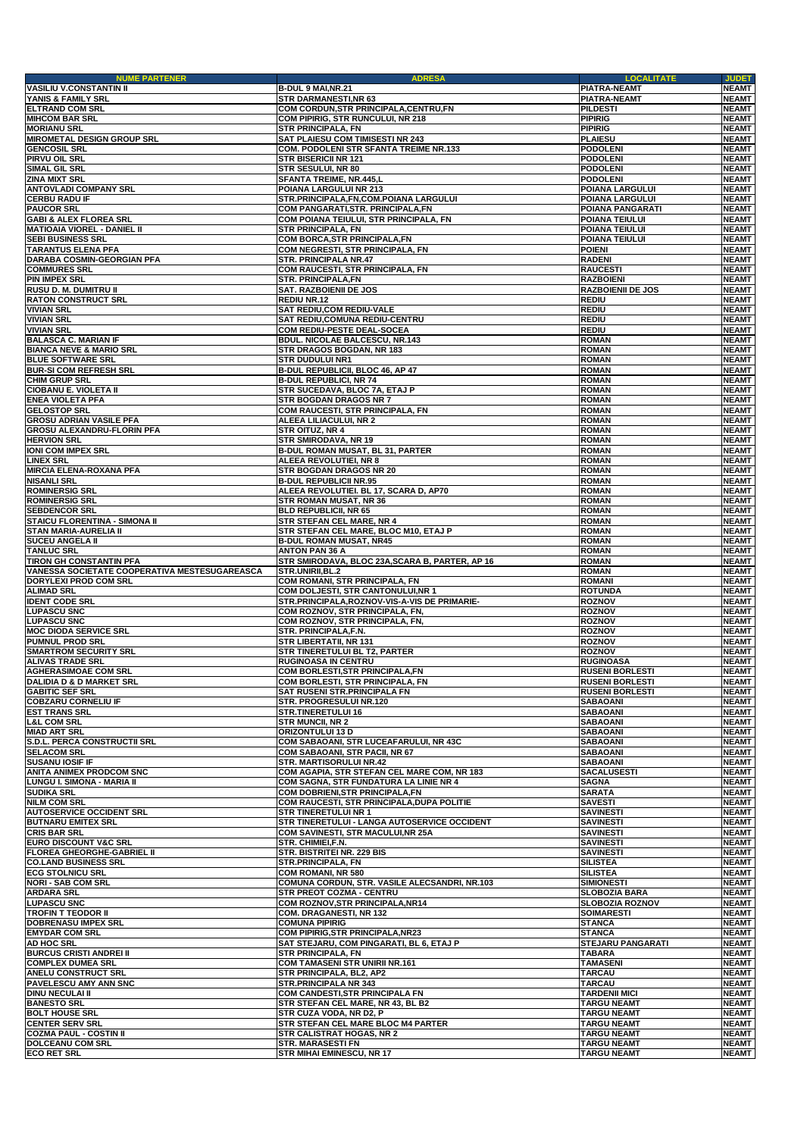| <b>NUME PARTENER</b>                                      | <b>ADRESA</b>                                                              | <b>LOCALITATE</b>                  | <b>JUDET</b>                 |
|-----------------------------------------------------------|----------------------------------------------------------------------------|------------------------------------|------------------------------|
| <b>VASILIU V.CONSTANTIN II</b>                            | B-DUL 9 MAI, NR.21                                                         | PIATRA-NEAMT                       | <b>NEAMT</b>                 |
| YANIS & FAMILY SRL                                        | <b>STR DARMANESTI, NR 63</b>                                               | PIATRA-NEAMT                       | <b>NEAMT</b>                 |
| <b>ELTRAND COM SRL</b>                                    | COM CORDUN, STR PRINCIPALA, CENTRU, FN                                     | <b>PILDESTI</b>                    | <b>NEAMT</b>                 |
| <b>MIHCOM BAR SRL</b>                                     | <b>COM PIPIRIG, STR RUNCULUI, NR 218</b>                                   | <b>PIPIRIG</b>                     | <b>NEAMT</b>                 |
| <b>MORIANU SRL</b>                                        | <b>STR PRINCIPALA, FN</b>                                                  | <b>PIPIRIG</b>                     | <b>NEAMT</b>                 |
| <b>MIROMETAL DESIGN GROUP SRL</b><br><b>GENCOSIL SRL</b>  | SAT PLAIESU COM TIMISESTI NR 243<br>COM. PODOLENI STR SFANTA TREIME NR.133 | <b>PLAIESU</b><br><b>PODOLENI</b>  | <b>NEAMT</b><br><b>NEAMT</b> |
| PIRVU OIL SRL                                             | <b>STR BISERICII NR 121</b>                                                | <b>PODOLENI</b>                    | <b>NEAMT</b>                 |
| SIMAL GIL SRL                                             | STR SESULUI, NR 80                                                         | <b>PODOLENI</b>                    | <b>NEAMT</b>                 |
| <b>ZINA MIXT SRL</b>                                      | SFANTA TREIME, NR.445,L                                                    | <b>PODOLENI</b>                    | <b>NEAMT</b>                 |
| <b>ANTOVLADI COMPANY SRL</b>                              | POIANA LARGULUI NR 213                                                     | POIANA LARGULUI                    | <b>NEAMT</b>                 |
| <b>CERBU RADU IF</b>                                      | STR.PRINCIPALA,FN,COM.POIANA LARGULUI                                      | POIANA LARGULUI                    | <b>NEAMT</b>                 |
| <b>PAUCOR SRL</b>                                         | COM PANGARATI, STR. PRINCIPALA, FN                                         | POIANA PANGARATI                   | <b>NEAMT</b>                 |
| <b>GABI &amp; ALEX FLOREA SRL</b>                         | COM POIANA TEIULUI, STR PRINCIPALA, FN                                     | POIANA TEIULUI                     | <b>NEAMT</b>                 |
| <b>MATIOAIA VIOREL - DANIEL II</b>                        | <b>STR PRINCIPALA, FN</b>                                                  | POIANA TEIULUI                     | <b>NEAMT</b>                 |
| <b>SEBI BUSINESS SRL</b>                                  | COM BORCA, STR PRINCIPALA, FN                                              | POIANA TEIULUI                     | <b>NEAMT</b>                 |
| <b>TARANTUS ELENA PFA</b>                                 | COM NEGRESTI, STR PRINCIPALA, FN                                           | <b>POIENI</b>                      | <b>NEAMT</b>                 |
| DARABA COSMIN-GEORGIAN PFA                                | STR. PRINCIPALA NR.47                                                      | <b>RADENI</b>                      | <b>NEAMT</b>                 |
| <b>COMMURES SRL</b>                                       | COM RAUCESTI, STR PRINCIPALA, FN                                           | <b>RAUCESTI</b>                    | <b>NEAMT</b>                 |
| <b>PIN IMPEX SRL</b>                                      | <b>STR. PRINCIPALA,FN</b>                                                  | <b>RAZBOIENI</b>                   | <b>NEAMT</b>                 |
| RUSU D. M. DUMITRU II                                     | SAT. RAZBOIENII DE JOS                                                     | <b>RAZBOIENII DE JOS</b>           | <b>NEAMT</b>                 |
| <b>RATON CONSTRUCT SRL</b>                                | REDIU NR.12                                                                | <b>REDIU</b>                       | <b>NEAMT</b>                 |
| <b>VIVIAN SRL</b>                                         | SAT REDIU, COM REDIU-VALE                                                  | <b>REDIU</b>                       | <b>NEAMT</b>                 |
| <b>VIVIAN SRL</b>                                         | SAT REDIU, COMUNA REDIU-CENTRU                                             | <b>REDIU</b>                       | <b>NEAMT</b>                 |
| <b>VIVIAN SRL</b><br><b>BALASCA C. MARIAN IF</b>          | COM REDIU-PESTE DEAL-SOCEA<br><b>BDUL, NICOLAE BALCESCU, NR.143</b>        | <b>REDIU</b><br><b>ROMAN</b>       | <b>NEAMT</b><br><b>NEAMT</b> |
| <b>BIANCA NEVE &amp; MARIO SRL</b>                        | STR DRAGOS BOGDAN, NR 183                                                  | <b>ROMAN</b>                       | <b>NEAMT</b>                 |
| <b>BLUE SOFTWARE SRL</b>                                  | <b>STR DUDULUI NR1</b>                                                     | <b>ROMAN</b>                       | <b>NEAMT</b>                 |
| <b>BUR-SI COM REFRESH SRL</b>                             | B-DUL REPUBLICII, BLOC 46, AP 47                                           | <b>ROMAN</b>                       | <b>NEAMT</b>                 |
| <b>CHIM GRUP SRL</b>                                      | <b>B-DUL REPUBLICI, NR 74</b>                                              | <b>ROMAN</b>                       | <b>NEAMT</b>                 |
| <b>CIOBANU E. VIOLETA II</b>                              | STR SUCEDAVA, BLOC 7A, ETAJ P                                              | <b>ROMAN</b>                       | <b>NEAMT</b>                 |
| <b>ENEA VIOLETA PFA</b>                                   | STR BOGDAN DRAGOS NR 7                                                     | <b>ROMAN</b>                       | <b>NEAMT</b>                 |
| <b>GELOSTOP SRL</b>                                       | COM RAUCESTI, STR PRINCIPALA, FN                                           | <b>ROMAN</b>                       | <b>NEAMT</b>                 |
| <b>GROSU ADRIAN VASILE PFA</b>                            | ALEEA LILIACULUI, NR 2                                                     | <b>ROMAN</b>                       | <b>NEAMT</b>                 |
| <b>GROSU ALEXANDRU-FLORIN PFA</b>                         | STR OITUZ, NR 4                                                            | <b>ROMAN</b>                       | <b>NEAMT</b>                 |
| <b>HERVION SRL</b>                                        | STR SMIRODAVA, NR 19                                                       | <b>ROMAN</b>                       | <b>NEAMT</b>                 |
| IONI COM IMPEX SRL                                        | <b>B-DUL ROMAN MUSAT, BL 31, PARTER</b>                                    | <b>ROMAN</b>                       | <b>NEAMT</b>                 |
| <b>LINEX SRL</b>                                          | ALEEA REVOLUTIEI, NR 8                                                     | <b>ROMAN</b>                       | <b>NEAMT</b>                 |
| <b>MIRCIA ELENA-ROXANA PFA</b>                            | STR BOGDAN DRAGOS NR 20                                                    | <b>ROMAN</b>                       | <b>NEAMT</b>                 |
| <b>NISANLI SRL</b>                                        | <b>B-DUL REPUBLICII NR.95</b>                                              | <b>ROMAN</b>                       | <b>NEAMT</b>                 |
| <b>ROMINERSIG SRL</b>                                     | ALEEA REVOLUTIEI. BL 17, SCARA D, AP70                                     | <b>ROMAN</b>                       | <b>NEAMT</b>                 |
| <b>ROMINERSIG SRL</b>                                     | <b>STR ROMAN MUSAT, NR 36</b>                                              | <b>ROMAN</b>                       | <b>NEAMT</b>                 |
| <b>SEBDENCOR SRL</b>                                      | <b>BLD REPUBLICII, NR 65</b>                                               | <b>ROMAN</b>                       | <b>NEAMT</b>                 |
| STAICU FLORENTINA - SIMONA II                             | STR STEFAN CEL MARE, NR 4                                                  | <b>ROMAN</b>                       | <b>NEAMT</b>                 |
| <b>STAN MARIA-AURELIA II</b>                              | STR STEFAN CEL MARE, BLOC M10, ETAJ P                                      | <b>ROMAN</b>                       | <b>NEAMT</b>                 |
| <b>SUCEU ANGELA II</b><br><b>TANLUC SRL</b>               | <b>B-DUL ROMAN MUSAT, NR45</b><br><b>ANTON PAN 36 A</b>                    | <b>ROMAN</b><br><b>ROMAN</b>       | <b>NEAMT</b><br><b>NEAMT</b> |
| <b>TIRON GH CONSTANTIN PFA</b>                            | STR SMIRODAVA, BLOC 23A, SCARA B, PARTER, AP 16                            | <b>ROMAN</b>                       | <b>NEAMT</b>                 |
| VANESSA SOCIETATE COOPERATIVA MESTESUGAREASCA             | STR.UNIRII, BL.2                                                           | <b>ROMAN</b>                       | <b>NEAMT</b>                 |
| DORYLEXI PROD COM SRL                                     | COM ROMANI, STR PRINCIPALA, FN                                             | <b>ROMANI</b>                      | <b>NEAMT</b>                 |
| <b>ALIMAD SRL</b>                                         | COM DOLJESTI, STR CANTONULUI, NR 1                                         | <b>ROTUNDA</b>                     | <b>NEAMT</b>                 |
| <b>IDENT CODE SRL</b>                                     | STR.PRINCIPALA, ROZNOV-VIS-A-VIS DE PRIMARIE-                              | <b>ROZNOV</b>                      | <b>NEAMT</b>                 |
| <b>LUPASCU SNC</b>                                        | COM ROZNOV, STR PRINCIPALA, FN,                                            | <b>ROZNOV</b>                      | <b>NEAMT</b>                 |
| <b>LUPASCU SNC</b>                                        | COM ROZNOV, STR PRINCIPALA, FN,                                            | <b>ROZNOV</b>                      | <b>NEAMT</b>                 |
| <b>MOC DIODA SERVICE SRL</b>                              | STR. PRINCIPALA.F.N.                                                       | <b>ROZNOV</b>                      | <b>NEAMT</b>                 |
| <b>PUMNUL PROD SRL</b>                                    | <b>STR LIBERTATII, NR 131</b>                                              | <b>ROZNOV</b>                      | <b>NEAMT</b>                 |
| <b>SMARTROM SECURITY SRL</b>                              | STR TINERETULUI BL T2, PARTER                                              | <b>ROZNOV</b>                      | <b>NEAMT</b>                 |
| <b>ALIVAS TRADE SRL</b>                                   | <b>RUGINOASA IN CENTRU</b>                                                 | <b>RUGINOASA</b>                   | <b>NEAMT</b>                 |
| <b>AGHERASIMOAE COM SRL</b>                               | COM BORLESTI, STR PRINCIPALA, FN                                           | <b>RUSENI BORLESTI</b>             | <b>NEAMT</b>                 |
| DALIDIA D & D MARKET SRL                                  | COM BORLESTI, STR PRINCIPALA, FN                                           | <b>RUSENI BORLESTI</b>             | <b>NEAMT</b>                 |
| <b>GABITIC SEF SRL</b>                                    | SAT RUSENI STR.PRINCIPALA FN                                               | <b>RUSENI BORLESTI</b>             | <b>NEAMT</b>                 |
| <b>COBZARU CORNELIU IF</b>                                | STR. PROGRESULUI NR.120                                                    | <b>SABAOANI</b>                    | <b>NEAMT</b>                 |
| <b>EST TRANS SRL</b>                                      | <b>STR.TINERETULUI 16</b>                                                  | <b>SABAOANI</b>                    | <b>NEAMT</b>                 |
| <b>L&amp;L COM SRL</b>                                    | <b>STR MUNCII, NR 2</b>                                                    | <b>SABAOANI</b>                    | <b>NEAMT</b>                 |
| <b>MIAD ART SRL</b>                                       | ORIZONTULUI 13 D                                                           | <b>SABAOANI</b>                    | <b>NEAMT</b>                 |
| <b>S.D.L. PERCA CONSTRUCTII SRL</b><br><b>SELACOM SRL</b> | COM SABAOANI, STR LUCEAFARULUI, NR 43C<br>COM SABAOANI, STR PACII, NR 67   | <b>SABAOANI</b><br><b>SABAOANI</b> | <b>NEAMT</b><br><b>NEAMT</b> |
| <b>SUSANU IOSIF IF</b>                                    | STR. MARTISORULUI NR.42                                                    | <b>SABAOANI</b>                    | <b>NEAMT</b>                 |
| <b>ANITA ANIMEX PRODCOM SNC</b>                           | COM AGAPIA, STR STEFAN CEL MARE COM, NR 183                                | SACALUSESTI                        | <b>NEAMT</b>                 |
| <b>LUNGU I. SIMONA - MARIA II</b>                         | COM SAGNA, STR FUNDATURA LA LINIE NR 4                                     | <b>SAGNA</b>                       | <b>NEAMT</b>                 |
| <b>SUDIKA SRL</b>                                         | COM DOBRIENI, STR PRINCIPALA, FN                                           | <b>SARATA</b>                      | <b>NEAMT</b>                 |
| <b>NILM COM SRL</b>                                       | COM RAUCESTI, STR PRINCIPALA, DUPA POLITIE                                 | <b>SAVESTI</b>                     | <b>NEAMT</b>                 |
| <b>AUTOSERVICE OCCIDENT SRL</b>                           | <b>STR TINERETULUI NR 1</b>                                                | <b>SAVINESTI</b>                   | <b>NEAMT</b>                 |
| <b>BUTNARU EMITEX SRL</b>                                 | STR TINERETULUI - LANGA AUTOSERVICE OCCIDENT                               | <b>SAVINESTI</b>                   | <b>NEAMT</b>                 |
| <b>CRIS BAR SRL</b>                                       | <b>COM SAVINESTI. STR MACULUI.NR 25A</b>                                   | <b>SAVINESTI</b>                   | <b>NEAMT</b>                 |
| <b>EURO DISCOUNT V&amp;C SRL</b>                          | STR. CHIMIEI, F.N.                                                         | <b>SAVINESTI</b>                   | <b>NEAMT</b>                 |
| <b>FLOREA GHEORGHE-GABRIEL II</b>                         | STR. BISTRITEI NR. 229 BIS                                                 | <b>SAVINESTI</b>                   | <b>NEAMT</b>                 |
| <b>CO.LAND BUSINESS SRL</b>                               | STR.PRINCIPALA, FN                                                         | <b>SILISTEA</b>                    | <b>NEAMT</b>                 |
| <b>ECG STOLNICU SRL</b>                                   | <b>COM ROMANI, NR 580</b>                                                  | <b>SILISTEA</b>                    | <b>NEAMT</b>                 |
| <b>NORI - SAB COM SRL</b>                                 | COMUNA CORDUN, STR. VASILE ALECSANDRI, NR.103                              | <b>SIMIONESTI</b>                  | <b>NEAMT</b>                 |
| <b>ARDARA SRL</b>                                         | <b>STR PREOT COZMA - CENTRU</b>                                            | <b>SLOBOZIA BARA</b>               | <b>NEAMT</b>                 |
| <b>LUPASCU SNC</b><br><b>TROFIN T TEODOR II</b>           | COM ROZNOV, STR PRINCIPALA, NR14                                           | <b>SLOBOZIA ROZNOV</b>             | <b>NEAMT</b>                 |
| <b>DOBRENASU IMPEX SRL</b>                                | <b>COM. DRAGANESTI, NR 132</b><br><b>COMUNA PIPIRIG</b>                    | <b>SOIMARESTI</b><br><b>STANCA</b> | <b>NEAMT</b><br><b>NEAMT</b> |
| <b>EMYDAR COM SRL</b>                                     | <b>COM PIPIRIG, STR PRINCIPALA, NR23</b>                                   | <b>STANCA</b>                      | <b>NEAMT</b>                 |
| <b>AD HOC SRL</b>                                         | SAT STEJARU, COM PINGARATI, BL 6, ETAJ P                                   | <b>STEJARU PANGARATI</b>           | <b>NEAMT</b>                 |
| <b>BURCUS CRISTI ANDREI II</b>                            | <b>STR PRINCIPALA, FN</b>                                                  | <b>TABARA</b>                      | <b>NEAMT</b>                 |
| <b>COMPLEX DUMEA SRL</b>                                  | <b>COM TAMASENI STR UNIRII NR.161</b>                                      | <b>TAMASENI</b>                    | <b>NEAMT</b>                 |
| <b>ANELU CONSTRUCT SRL</b>                                | STR PRINCIPALA, BL2, AP2                                                   | <b>TARCAU</b>                      | <b>NEAMT</b>                 |
| <b>PAVELESCU AMY ANN SNC</b>                              | <b>STR.PRINCIPALA NR 343</b>                                               | <b>TARCAU</b>                      | <b>NEAMT</b>                 |
| <b>DINU NECULAI II</b>                                    | COM CANDESTI, STR PRINCIPALA FN                                            | <b>TARDENII MICI</b>               | <b>NEAMT</b>                 |
| <b>BANESTO SRL</b>                                        | STR STEFAN CEL MARE, NR 43, BL B2                                          | <b>TARGU NEAMT</b>                 | <b>NEAMT</b>                 |
| <b>BOLT HOUSE SRL</b>                                     | STR CUZA VODA, NR D2, P                                                    | <b>TARGU NEAMT</b>                 | <b>NEAMT</b>                 |
| <b>CENTER SERV SRL</b>                                    | STR STEFAN CEL MARE BLOC M4 PARTER                                         | <b>TARGU NEAMT</b>                 | <b>NEAMT</b>                 |
| <b>COZMA PAUL - COSTIN II</b>                             | <b>STR CALISTRAT HOGAS, NR 2</b>                                           | <b>TARGU NEAMT</b>                 | <b>NEAMT</b>                 |
| <b>DOLCEANU COM SRL</b>                                   | <b>STR. MARASESTI FN</b>                                                   | <b>TARGU NEAMT</b>                 | <b>NEAMT</b>                 |
| <b>ECO RET SRL</b>                                        | STR MIHAI EMINESCU, NR 17                                                  | <b>TARGU NEAMT</b>                 | <b>NEAMT</b>                 |